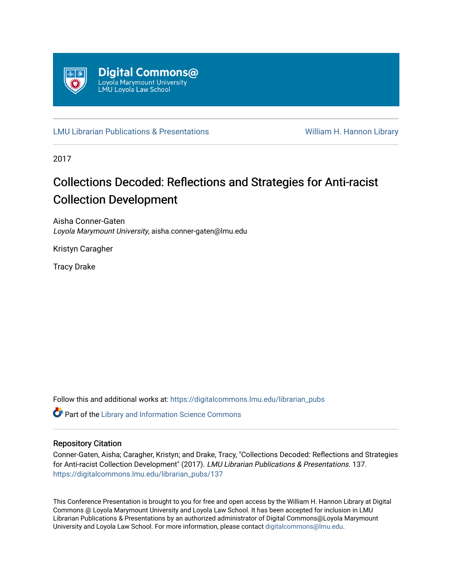

[LMU Librarian Publications & Presentations](https://digitalcommons.lmu.edu/librarian_pubs) William H. Hannon Library

2017

#### Collections Decoded: Reflections and Strategies for Anti-racist Collection Development

Aisha Conner-Gaten Loyola Marymount University, aisha.conner-gaten@lmu.edu

Kristyn Caragher

Tracy Drake

Follow this and additional works at: [https://digitalcommons.lmu.edu/librarian\\_pubs](https://digitalcommons.lmu.edu/librarian_pubs?utm_source=digitalcommons.lmu.edu%2Flibrarian_pubs%2F137&utm_medium=PDF&utm_campaign=PDFCoverPages)

Part of the [Library and Information Science Commons](https://network.bepress.com/hgg/discipline/1018?utm_source=digitalcommons.lmu.edu%2Flibrarian_pubs%2F137&utm_medium=PDF&utm_campaign=PDFCoverPages) 

#### Repository Citation

Conner-Gaten, Aisha; Caragher, Kristyn; and Drake, Tracy, "Collections Decoded: Reflections and Strategies for Anti-racist Collection Development" (2017). LMU Librarian Publications & Presentations. 137. [https://digitalcommons.lmu.edu/librarian\\_pubs/137](https://digitalcommons.lmu.edu/librarian_pubs/137?utm_source=digitalcommons.lmu.edu%2Flibrarian_pubs%2F137&utm_medium=PDF&utm_campaign=PDFCoverPages)

This Conference Presentation is brought to you for free and open access by the William H. Hannon Library at Digital Commons @ Loyola Marymount University and Loyola Law School. It has been accepted for inclusion in LMU Librarian Publications & Presentations by an authorized administrator of Digital Commons@Loyola Marymount University and Loyola Law School. For more information, please contact [digitalcommons@lmu.edu.](mailto:digitalcommons@lmu.edu)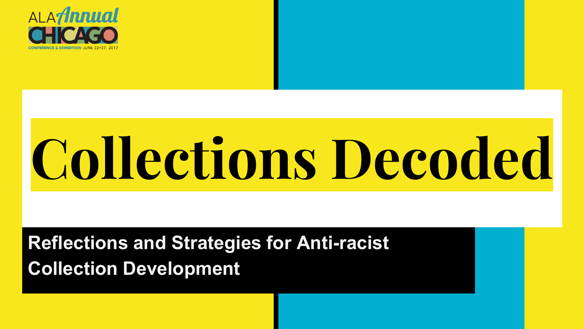

# **Collections Decoded**

#### **Reflections and Strategies for Anti-racist Collection Development**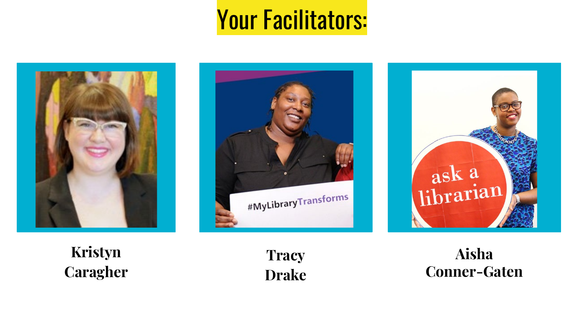#### Your Facilitators:





**Kristyn Caragher**

**Tracy Drake**

**Aisha Conner-Gaten**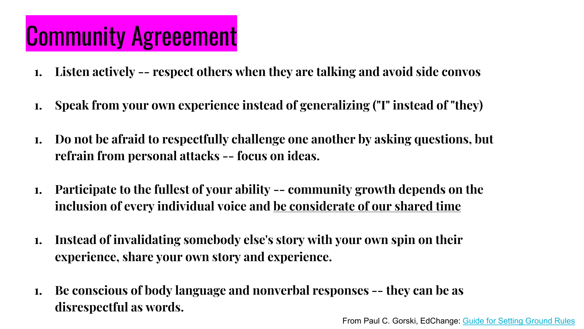#### Community Agreeement

- **1. Listen actively -- respect others when they are talking and avoid side convos**
- **1. Speak from your own experience instead of generalizing ("I" instead of "they)**
- **1. Do not be afraid to respectfully challenge one another by asking questions, but refrain from personal attacks -- focus on ideas.**
- **1. Participate to the fullest of your ability -- community growth depends on the inclusion of every individual voice and be considerate of our shared time**
- **1. Instead of invalidating somebody else's story with your own spin on their experience, share your own story and experience.**
- **1. Be conscious of body language and nonverbal responses -- they can be as disrespectful as words.**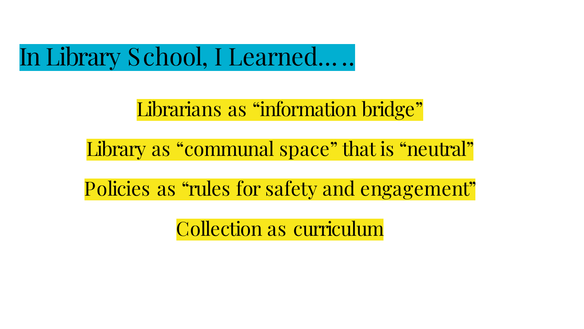In Library School, I Learned… ..

#### Librarians as "information bridge"

Library as "communal space" that is "neutral"

Policies as "rules for safety and engagement"

Collection as curriculum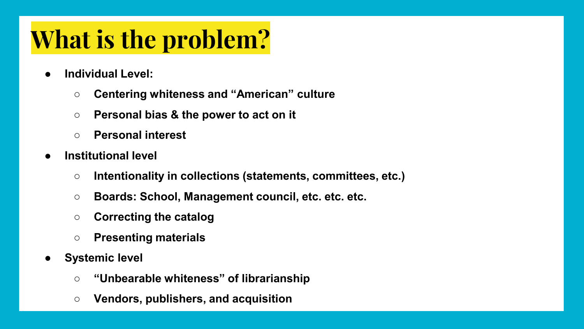#### **What is the problem?**

- **Individual Level:** 
	- **Centering whiteness and "American" culture**
	- **Personal bias & the power to act on it**
	- **Personal interest**
- **Institutional level** 
	- **Intentionality in collections (statements, committees, etc.)**
	- **Boards: School, Management council, etc. etc. etc.**
	- **Correcting the catalog**
	- **Presenting materials**
- **Systemic level** 
	- **"Unbearable whiteness" of librarianship**
	- **Vendors, publishers, and acquisition**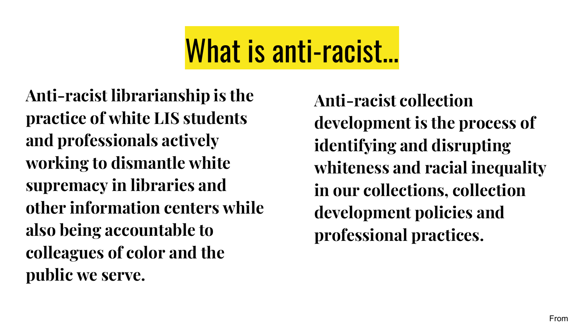# What is anti-racist...

**Anti-racist librarianship is the practice of white LIS students and professionals actively working to dismantle white supremacy in libraries and other information centers while also being accountable to colleagues of color and the public we serve.**

**Anti-racist collection development is the process of identifying and disrupting whiteness and racial inequality in our collections, collection development policies and professional practices.**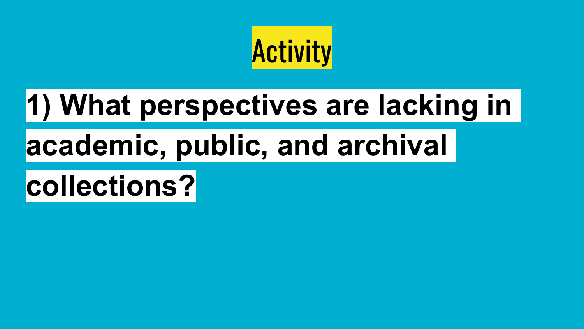

# **1) What perspectives are lacking in**

### **academic, public, and archival**

### **collections?**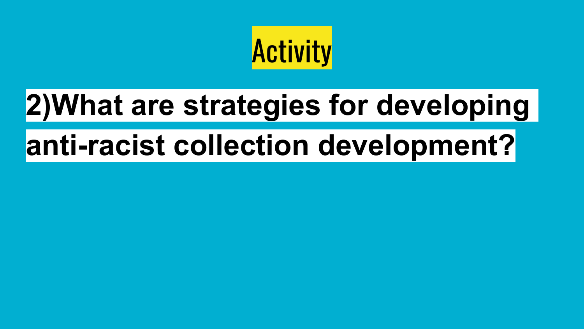

# **2)What are strategies for developing**

### **anti-racist collection development?**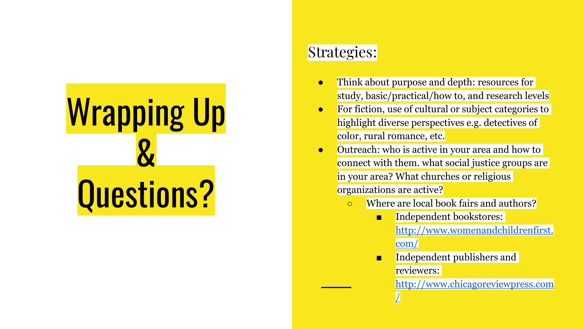# Wrapping Up & Questions?

#### Strategies:

- Think about purpose and depth: resources for study, basic/practical/how to, and research levels
- For fiction, use of cultural or subject categories to highlight diverse perspectives e.g. detectives of color, rural romance, etc.
- Outreach: who is active in your area and how to connect with them. what social justice groups are in your area? What churches or religious organizations are active?
	- Where are local book fairs and authors?
		- Independent bookstores: [http://www.womenandchildrenfirst.](http://www.womenandchildrenfirst.com/) com/
		- Independent publishers and reviewers:

[http://www.chicagoreviewpress.com](http://www.chicagoreviewpress.com/) /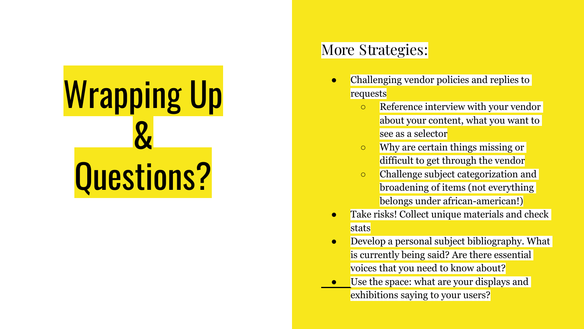

#### More Strategies:

- Challenging vendor policies and replies to requests
	- **EXECUTE:** Reference interview with your vendor about your content, what you want to see as a selector
	- Why are certain things missing or difficult to get through the vendor
	- Challenge subject categorization and broadening of items (not everything belongs under african-american!)
- **•** Take risks! Collect unique materials and check stats
- Develop a personal subject bibliography. What is currently being said? Are there essential voices that you need to know about?
- Use the space: what are your displays and exhibitions saying to your users?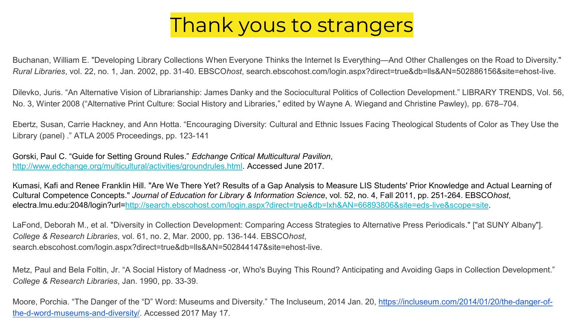#### Thank yous to strangers

Buchanan, William E. "Developing Library Collections When Everyone Thinks the Internet Is Everything—And Other Challenges on the Road to Diversity." *Rural Libraries*, vol. 22, no. 1, Jan. 2002, pp. 31-40. EBSCO*host*, search.ebscohost.com/login.aspx?direct=true&db=lls&AN=502886156&site=ehost-live.

Dilevko, Juris. "An Alternative Vision of Librarianship: James Danky and the Sociocultural Politics of Collection Development." LIBRARY TRENDS, Vol. 56, No. 3, Winter 2008 ("Alternative Print Culture: Social History and Libraries," edited by Wayne A. Wiegand and Christine Pawley), pp. 678–704.

Ebertz, Susan, Carrie Hackney, and Ann Hotta. "Encouraging Diversity: Cultural and Ethnic Issues Facing Theological Students of Color as They Use the Library (panel) ." ATLA 2005 Proceedings, pp. 123-141

Gorski, Paul C. "Guide for Setting Ground Rules." *Edchange Critical Multicultural Pavilion*, [http://www.edchange.org/multicultural/activities/groundrules.html.](http://www.edchange.org/multicultural/activities/groundrules.html) Accessed June 2017.

Kumasi, Kafi and Renee Franklin Hill. "Are We There Yet? Results of a Gap Analysis to Measure LIS Students' Prior Knowledge and Actual Learning of Cultural Competence Concepts." *Journal of Education for Library & Information Science*, vol. 52, no. 4, Fall 2011, pp. 251-264. EBSCO*host*, electra.lmu.edu:2048/login?url[=http://search.ebscohost.com/login.aspx?direct=true&db=lxh&AN=66893806&site=eds-live&scope=site](http://search.ebscohost.com/login.aspx?direct=true&db=lxh&AN=66893806&site=eds-live&scope=site).

LaFond, Deborah M., et al. "Diversity in Collection Development: Comparing Access Strategies to Alternative Press Periodicals." ["at SUNY Albany"]. *College & Research Libraries*, vol. 61, no. 2, Mar. 2000, pp. 136-144. EBSCO*host*, search.ebscohost.com/login.aspx?direct=true&db=lls&AN=502844147&site=ehost-live.

Metz, Paul and Bela Foltin, Jr. "A Social History of Madness -or, Who's Buying This Round? Anticipating and Avoiding Gaps in Collection Development." *College & Research Libraries*, Jan. 1990, pp. 33-39.

[Moore, Porchia. "The Danger of the "D" Word: Museums and Diversity." The Incluseum, 2014 Jan. 20, https://incluseum.com/2014/01/20/the-danger-of](https://incluseum.com/2014/01/20/the-danger-of-the-d-word-museums-and-diversity/)the-d-word-museums-and-diversity/. Accessed 2017 May 17.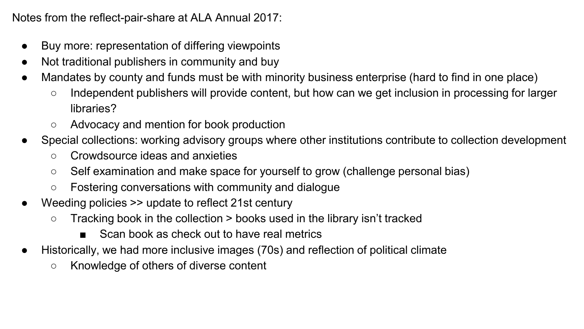Notes from the reflect-pair-share at ALA Annual 2017:

- Buy more: representation of differing viewpoints
- Not traditional publishers in community and buy
- Mandates by county and funds must be with minority business enterprise (hard to find in one place)
	- Independent publishers will provide content, but how can we get inclusion in processing for larger libraries?
	- Advocacy and mention for book production
- Special collections: working advisory groups where other institutions contribute to collection development
	- Crowdsource ideas and anxieties
	- Self examination and make space for yourself to grow (challenge personal bias)
	- Fostering conversations with community and dialogue
- Weeding policies  $\gg$  update to reflect 21st century
	- $\circ$  Tracking book in the collection  $>$  books used in the library isn't tracked
		- Scan book as check out to have real metrics
- Historically, we had more inclusive images (70s) and reflection of political climate
	- Knowledge of others of diverse content